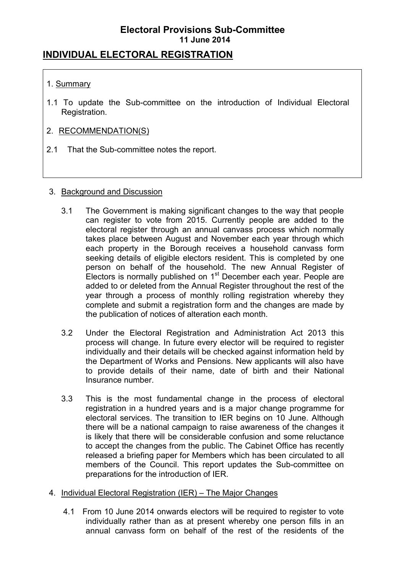## **INDIVIDUAL ELECTORAL REGISTRATION**

### 1. Summary

1.1 To update the Sub-committee on the introduction of Individual Electoral Registration.

### 2. RECOMMENDATION(S)

2.1 That the Sub-committee notes the report.

### 3. Background and Discussion

- 3.1 The Government is making significant changes to the way that people can register to vote from 2015. Currently people are added to the electoral register through an annual canvass process which normally takes place between August and November each year through which each property in the Borough receives a household canvass form seeking details of eligible electors resident. This is completed by one person on behalf of the household. The new Annual Register of Electors is normally published on  $1<sup>st</sup>$  December each year. People are added to or deleted from the Annual Register throughout the rest of the year through a process of monthly rolling registration whereby they complete and submit a registration form and the changes are made by the publication of notices of alteration each month.
- 3.2 Under the Electoral Registration and Administration Act 2013 this process will change. In future every elector will be required to register individually and their details will be checked against information held by the Department of Works and Pensions. New applicants will also have to provide details of their name, date of birth and their National Insurance number.
- 3.3 This is the most fundamental change in the process of electoral registration in a hundred years and is a major change programme for electoral services. The transition to IER begins on 10 June. Although there will be a national campaign to raise awareness of the changes it is likely that there will be considerable confusion and some reluctance to accept the changes from the public. The Cabinet Office has recently released a briefing paper for Members which has been circulated to all members of the Council. This report updates the Sub-committee on preparations for the introduction of IER.

### 4. Individual Electoral Registration (IER) – The Major Changes

4.1 From 10 June 2014 onwards electors will be required to register to vote individually rather than as at present whereby one person fills in an annual canvass form on behalf of the rest of the residents of the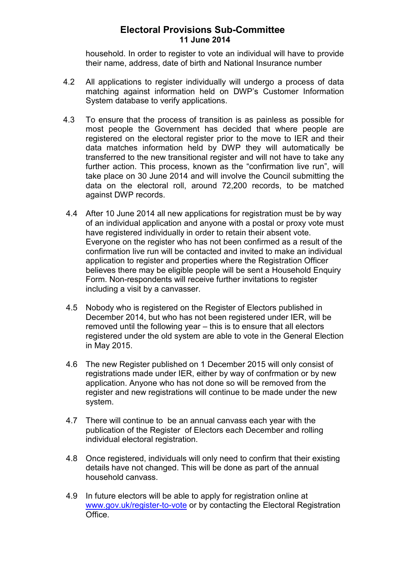household. In order to register to vote an individual will have to provide their name, address, date of birth and National Insurance number

- 4.2 All applications to register individually will undergo a process of data matching against information held on DWP's Customer Information System database to verify applications.
- 4.3 To ensure that the process of transition is as painless as possible for most people the Government has decided that where people are registered on the electoral register prior to the move to IER and their data matches information held by DWP they will automatically be transferred to the new transitional register and will not have to take any further action. This process, known as the "confirmation live run", will take place on 30 June 2014 and will involve the Council submitting the data on the electoral roll, around 72,200 records, to be matched against DWP records.
- 4.4 After 10 June 2014 all new applications for registration must be by way of an individual application and anyone with a postal or proxy vote must have registered individually in order to retain their absent vote. Everyone on the register who has not been confirmed as a result of the confirmation live run will be contacted and invited to make an individual application to register and properties where the Registration Officer believes there may be eligible people will be sent a Household Enquiry Form. Non-respondents will receive further invitations to register including a visit by a canvasser.
- 4.5 Nobody who is registered on the Register of Electors published in December 2014, but who has not been registered under IER, will be removed until the following year – this is to ensure that all electors registered under the old system are able to vote in the General Election in May 2015.
- 4.6 The new Register published on 1 December 2015 will only consist of registrations made under IER, either by way of confrmation or by new application. Anyone who has not done so will be removed from the register and new registrations will continue to be made under the new system.
- 4.7 There will continue to be an annual canvass each year with the publication of the Register of Electors each December and rolling individual electoral registration.
- 4.8 Once registered, individuals will only need to confirm that their existing details have not changed. This will be done as part of the annual household canvass.
- 4.9 In future electors will be able to apply for registration online at www.gov.uk/register-to-vote or by contacting the Electoral Registration Office.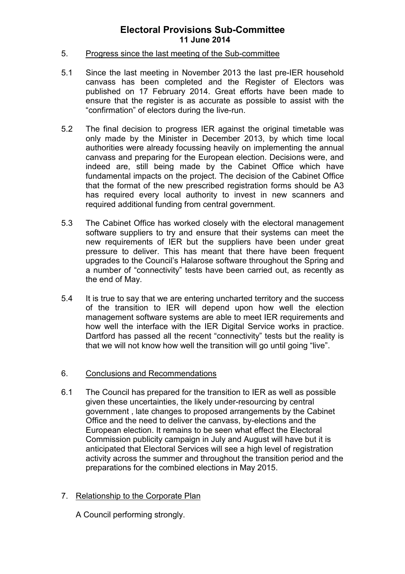#### 5. Progress since the last meeting of the Sub-committee

- 5.1 Since the last meeting in November 2013 the last pre-IER household canvass has been completed and the Register of Electors was published on 17 February 2014. Great efforts have been made to ensure that the register is as accurate as possible to assist with the "confirmation" of electors during the live-run.
- 5.2 The final decision to progress IER against the original timetable was only made by the Minister in December 2013, by which time local authorities were already focussing heavily on implementing the annual canvass and preparing for the European election. Decisions were, and indeed are, still being made by the Cabinet Office which have fundamental impacts on the project. The decision of the Cabinet Office that the format of the new prescribed registration forms should be A3 has required every local authority to invest in new scanners and required additional funding from central government.
- 5.3 The Cabinet Office has worked closely with the electoral management software suppliers to try and ensure that their systems can meet the new requirements of IER but the suppliers have been under great pressure to deliver. This has meant that there have been frequent upgrades to the Council's Halarose software throughout the Spring and a number of "connectivity" tests have been carried out, as recently as the end of May.
- 5.4 It is true to say that we are entering uncharted territory and the success of the transition to IER will depend upon how well the election management software systems are able to meet IER requirements and how well the interface with the IER Digital Service works in practice. Dartford has passed all the recent "connectivity" tests but the reality is that we will not know how well the transition will go until going "live".

### 6. Conclusions and Recommendations

6.1 The Council has prepared for the transition to IER as well as possible given these uncertainties, the likely under-resourcing by central government , late changes to proposed arrangements by the Cabinet Office and the need to deliver the canvass, by-elections and the European election. It remains to be seen what effect the Electoral Commission publicity campaign in July and August will have but it is anticipated that Electoral Services will see a high level of registration activity across the summer and throughout the transition period and the preparations for the combined elections in May 2015.

### 7. Relationship to the Corporate Plan

A Council performing strongly.